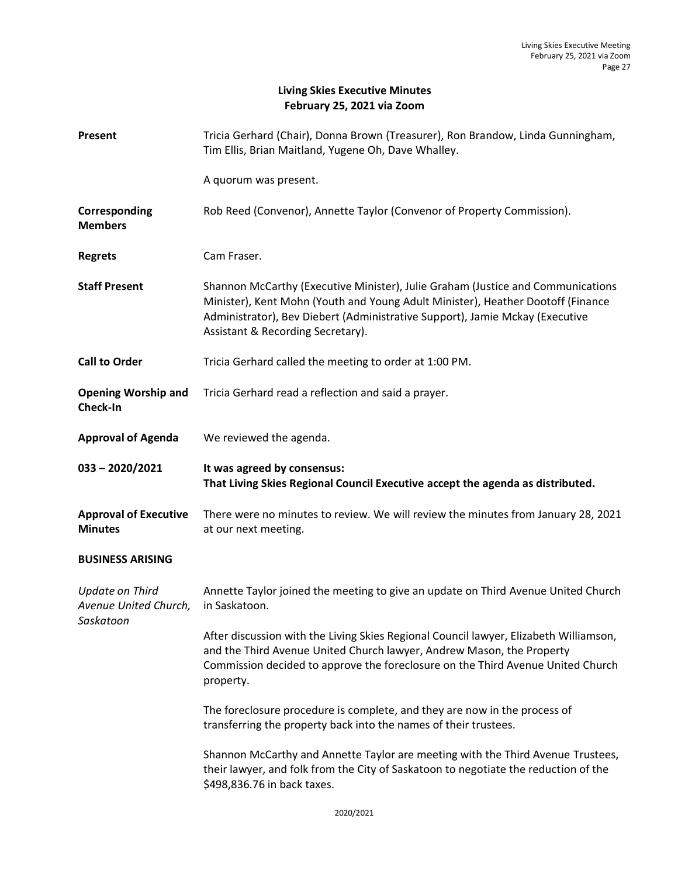## **Living Skies Executive Minutes February 25, 2021 via Zoom**

| Present                                         | Tricia Gerhard (Chair), Donna Brown (Treasurer), Ron Brandow, Linda Gunningham,<br>Tim Ellis, Brian Maitland, Yugene Oh, Dave Whalley.                                                                                                                                                  |
|-------------------------------------------------|-----------------------------------------------------------------------------------------------------------------------------------------------------------------------------------------------------------------------------------------------------------------------------------------|
|                                                 | A quorum was present.                                                                                                                                                                                                                                                                   |
| Corresponding<br><b>Members</b>                 | Rob Reed (Convenor), Annette Taylor (Convenor of Property Commission).                                                                                                                                                                                                                  |
| <b>Regrets</b>                                  | Cam Fraser.                                                                                                                                                                                                                                                                             |
| <b>Staff Present</b>                            | Shannon McCarthy (Executive Minister), Julie Graham (Justice and Communications<br>Minister), Kent Mohn (Youth and Young Adult Minister), Heather Dootoff (Finance<br>Administrator), Bev Diebert (Administrative Support), Jamie Mckay (Executive<br>Assistant & Recording Secretary). |
| <b>Call to Order</b>                            | Tricia Gerhard called the meeting to order at 1:00 PM.                                                                                                                                                                                                                                  |
| <b>Opening Worship and</b><br>Check-In          | Tricia Gerhard read a reflection and said a prayer.                                                                                                                                                                                                                                     |
| <b>Approval of Agenda</b>                       | We reviewed the agenda.                                                                                                                                                                                                                                                                 |
|                                                 |                                                                                                                                                                                                                                                                                         |
| $033 - 2020/2021$                               | It was agreed by consensus:<br>That Living Skies Regional Council Executive accept the agenda as distributed.                                                                                                                                                                           |
| <b>Approval of Executive</b><br><b>Minutes</b>  | There were no minutes to review. We will review the minutes from January 28, 2021<br>at our next meeting.                                                                                                                                                                               |
| <b>BUSINESS ARISING</b>                         |                                                                                                                                                                                                                                                                                         |
| <b>Update on Third</b><br>Avenue United Church, | Annette Taylor joined the meeting to give an update on Third Avenue United Church<br>in Saskatoon.                                                                                                                                                                                      |
| Saskatoon                                       | After discussion with the Living Skies Regional Council lawyer, Elizabeth Williamson,<br>and the Third Avenue United Church lawyer, Andrew Mason, the Property<br>Commission decided to approve the foreclosure on the Third Avenue United Church<br>property.                          |
|                                                 | The foreclosure procedure is complete, and they are now in the process of<br>transferring the property back into the names of their trustees.                                                                                                                                           |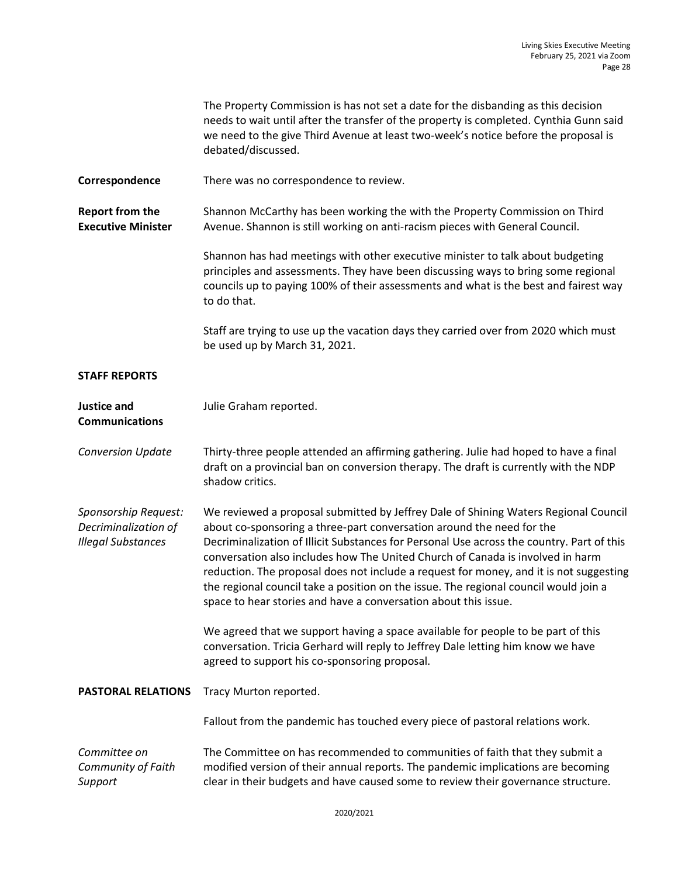|                                                                           | The Property Commission is has not set a date for the disbanding as this decision<br>needs to wait until after the transfer of the property is completed. Cynthia Gunn said<br>we need to the give Third Avenue at least two-week's notice before the proposal is<br>debated/discussed.                                                                                                                                                                                                                                                                                                          |
|---------------------------------------------------------------------------|--------------------------------------------------------------------------------------------------------------------------------------------------------------------------------------------------------------------------------------------------------------------------------------------------------------------------------------------------------------------------------------------------------------------------------------------------------------------------------------------------------------------------------------------------------------------------------------------------|
| Correspondence                                                            | There was no correspondence to review.                                                                                                                                                                                                                                                                                                                                                                                                                                                                                                                                                           |
| <b>Report from the</b><br><b>Executive Minister</b>                       | Shannon McCarthy has been working the with the Property Commission on Third<br>Avenue. Shannon is still working on anti-racism pieces with General Council.                                                                                                                                                                                                                                                                                                                                                                                                                                      |
|                                                                           | Shannon has had meetings with other executive minister to talk about budgeting<br>principles and assessments. They have been discussing ways to bring some regional<br>councils up to paying 100% of their assessments and what is the best and fairest way<br>to do that.                                                                                                                                                                                                                                                                                                                       |
|                                                                           | Staff are trying to use up the vacation days they carried over from 2020 which must<br>be used up by March 31, 2021.                                                                                                                                                                                                                                                                                                                                                                                                                                                                             |
| <b>STAFF REPORTS</b>                                                      |                                                                                                                                                                                                                                                                                                                                                                                                                                                                                                                                                                                                  |
| <b>Justice and</b><br><b>Communications</b>                               | Julie Graham reported.                                                                                                                                                                                                                                                                                                                                                                                                                                                                                                                                                                           |
| <b>Conversion Update</b>                                                  | Thirty-three people attended an affirming gathering. Julie had hoped to have a final<br>draft on a provincial ban on conversion therapy. The draft is currently with the NDP<br>shadow critics.                                                                                                                                                                                                                                                                                                                                                                                                  |
| Sponsorship Request:<br>Decriminalization of<br><b>Illegal Substances</b> | We reviewed a proposal submitted by Jeffrey Dale of Shining Waters Regional Council<br>about co-sponsoring a three-part conversation around the need for the<br>Decriminalization of Illicit Substances for Personal Use across the country. Part of this<br>conversation also includes how The United Church of Canada is involved in harm<br>reduction. The proposal does not include a request for money, and it is not suggesting<br>the regional council take a position on the issue. The regional council would join a<br>space to hear stories and have a conversation about this issue. |
|                                                                           | We agreed that we support having a space available for people to be part of this<br>conversation. Tricia Gerhard will reply to Jeffrey Dale letting him know we have<br>agreed to support his co-sponsoring proposal.                                                                                                                                                                                                                                                                                                                                                                            |
| <b>PASTORAL RELATIONS</b>                                                 | Tracy Murton reported.                                                                                                                                                                                                                                                                                                                                                                                                                                                                                                                                                                           |
|                                                                           | Fallout from the pandemic has touched every piece of pastoral relations work.                                                                                                                                                                                                                                                                                                                                                                                                                                                                                                                    |
| Committee on<br>Community of Faith<br>Support                             | The Committee on has recommended to communities of faith that they submit a<br>modified version of their annual reports. The pandemic implications are becoming<br>clear in their budgets and have caused some to review their governance structure.                                                                                                                                                                                                                                                                                                                                             |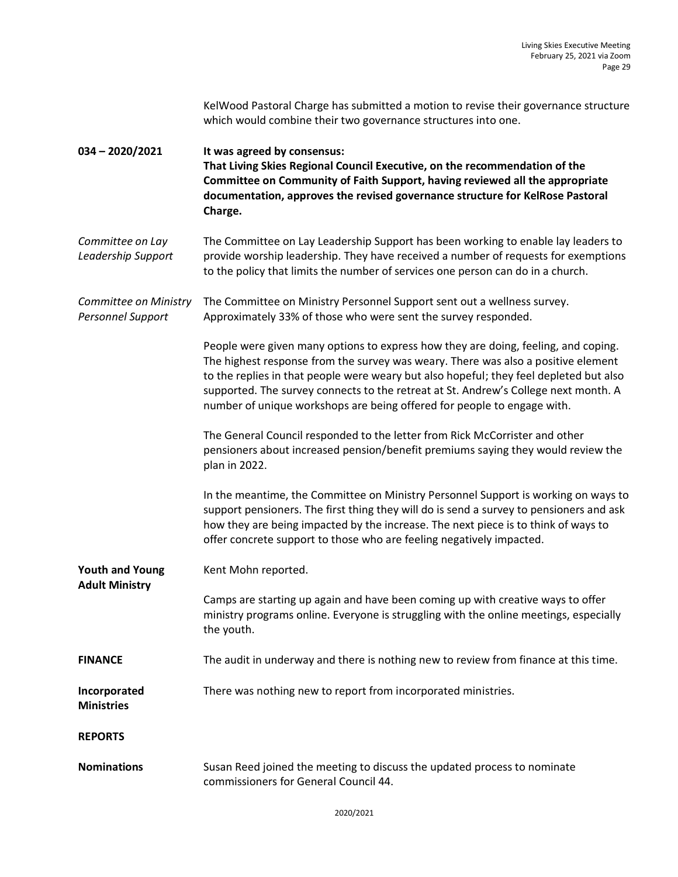KelWood Pastoral Charge has submitted a motion to revise their governance structure which would combine their two governance structures into one.

**034 – 2020/2021 It was agreed by consensus: That Living Skies Regional Council Executive, on the recommendation of the Committee on Community of Faith Support, having reviewed all the appropriate documentation, approves the revised governance structure for KelRose Pastoral Charge.**

*Committee on Lay Leadership Support* The Committee on Lay Leadership Support has been working to enable lay leaders to provide worship leadership. They have received a number of requests for exemptions to the policy that limits the number of services one person can do in a church.

*Committee on Ministry Personnel Support* The Committee on Ministry Personnel Support sent out a wellness survey. Approximately 33% of those who were sent the survey responded.

> People were given many options to express how they are doing, feeling, and coping. The highest response from the survey was weary. There was also a positive element to the replies in that people were weary but also hopeful; they feel depleted but also supported. The survey connects to the retreat at St. Andrew's College next month. A number of unique workshops are being offered for people to engage with.

The General Council responded to the letter from Rick McCorrister and other pensioners about increased pension/benefit premiums saying they would review the plan in 2022.

In the meantime, the Committee on Ministry Personnel Support is working on ways to support pensioners. The first thing they will do is send a survey to pensioners and ask how they are being impacted by the increase. The next piece is to think of ways to offer concrete support to those who are feeling negatively impacted.

**Youth and Young Adult Ministry** Kent Mohn reported.

Camps are starting up again and have been coming up with creative ways to offer ministry programs online. Everyone is struggling with the online meetings, especially the youth.

**FINANCE** The audit in underway and there is nothing new to review from finance at this time.

There was nothing new to report from incorporated ministries.

**Incorporated Ministries**

**REPORTS**

**Nominations** Susan Reed joined the meeting to discuss the updated process to nominate commissioners for General Council 44.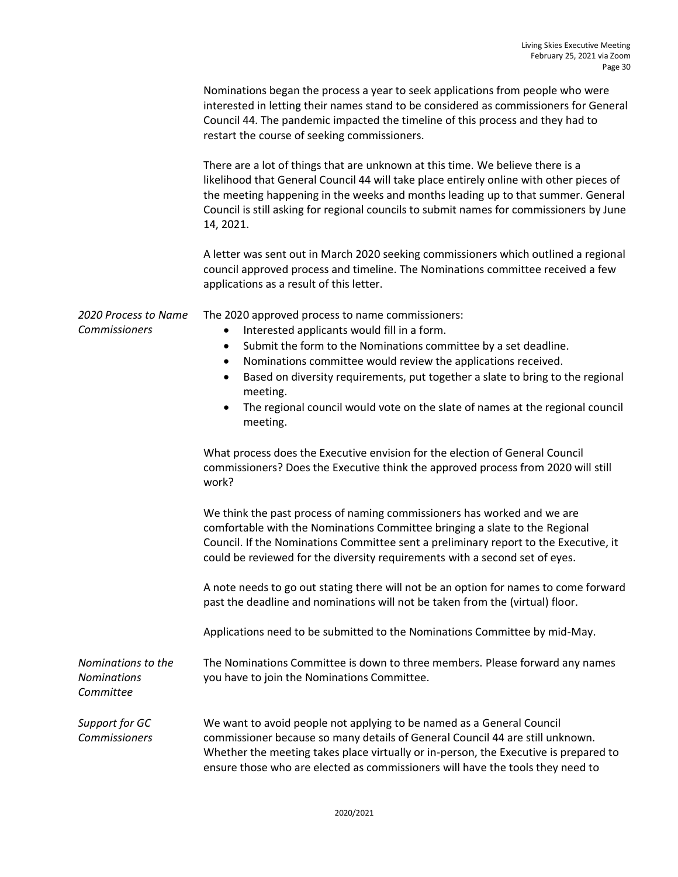|                                                       | Nominations began the process a year to seek applications from people who were<br>interested in letting their names stand to be considered as commissioners for General<br>Council 44. The pandemic impacted the timeline of this process and they had to<br>restart the course of seeking commissioners.                                                                                                                                                                               |
|-------------------------------------------------------|-----------------------------------------------------------------------------------------------------------------------------------------------------------------------------------------------------------------------------------------------------------------------------------------------------------------------------------------------------------------------------------------------------------------------------------------------------------------------------------------|
|                                                       | There are a lot of things that are unknown at this time. We believe there is a<br>likelihood that General Council 44 will take place entirely online with other pieces of<br>the meeting happening in the weeks and months leading up to that summer. General<br>Council is still asking for regional councils to submit names for commissioners by June<br>14, 2021.                                                                                                                   |
|                                                       | A letter was sent out in March 2020 seeking commissioners which outlined a regional<br>council approved process and timeline. The Nominations committee received a few<br>applications as a result of this letter.                                                                                                                                                                                                                                                                      |
| 2020 Process to Name<br>Commissioners                 | The 2020 approved process to name commissioners:<br>Interested applicants would fill in a form.<br>$\bullet$<br>Submit the form to the Nominations committee by a set deadline.<br>$\bullet$<br>Nominations committee would review the applications received.<br>٠<br>Based on diversity requirements, put together a slate to bring to the regional<br>$\bullet$<br>meeting.<br>The regional council would vote on the slate of names at the regional council<br>$\bullet$<br>meeting. |
|                                                       | What process does the Executive envision for the election of General Council<br>commissioners? Does the Executive think the approved process from 2020 will still<br>work?                                                                                                                                                                                                                                                                                                              |
|                                                       | We think the past process of naming commissioners has worked and we are<br>comfortable with the Nominations Committee bringing a slate to the Regional<br>Council. If the Nominations Committee sent a preliminary report to the Executive, it<br>could be reviewed for the diversity requirements with a second set of eyes.                                                                                                                                                           |
|                                                       | A note needs to go out stating there will not be an option for names to come forward<br>past the deadline and nominations will not be taken from the (virtual) floor.                                                                                                                                                                                                                                                                                                                   |
|                                                       | Applications need to be submitted to the Nominations Committee by mid-May.                                                                                                                                                                                                                                                                                                                                                                                                              |
| Nominations to the<br><b>Nominations</b><br>Committee | The Nominations Committee is down to three members. Please forward any names<br>you have to join the Nominations Committee.                                                                                                                                                                                                                                                                                                                                                             |
| Support for GC<br>Commissioners                       | We want to avoid people not applying to be named as a General Council<br>commissioner because so many details of General Council 44 are still unknown.<br>Whether the meeting takes place virtually or in-person, the Executive is prepared to<br>ensure those who are elected as commissioners will have the tools they need to                                                                                                                                                        |